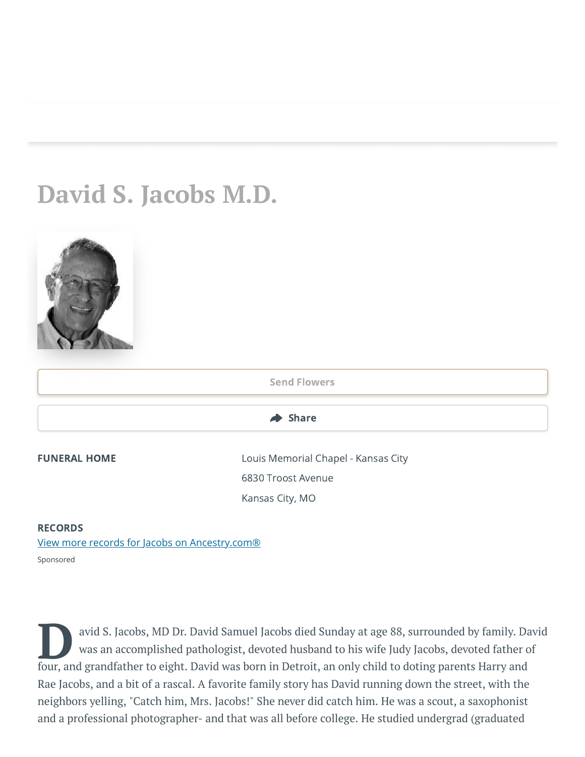## **David S. Jacobs M.D.**



## **RECORDS**

[View more records for Jacobs on Ancestry.com®](https://adclick.g.doubleclick.net/pcs/click?xai=AKAOjst2OJfJTHpLeTdUIeAsaf_-IlKPPtz-K-C-9joZXmxBWqseMT7MasvM5nt4MFwgs_71hZDIxOxkDCC4n_n7kQxdpGQEfQXIrjAyTMY8kt9uU4eztbPhJWAz62khlUbPWcja9qXEWRxcDKv7Z4kzcfMsRJ5a2P9P0VxXSlsL2G50I6y4rg3vyZWyUzy78wX3eYSBx9oug3DD-Uam6OAU4wfulzAMJQT78WQqWJ6lWz7IWZWaICbfTTpAp8A6-4sn7Bmq7bi6W8lMEjlmsQ1bxvPrlz7QG1vyxP9Ow9kqyBjOH8esOhKuldqnAJSr_HivmTJkZEUkkQ4RdPfG9rSmhoetTA&sai=AMfl-YQWA5e36zIVxuyF2bHrTBRa6OibVg8ZcX4C9FdAXpTApAw2N-VcQYF7J9wu8mt7qA7RCoqvp93nnNEIwRqwsq6uSinNDWDc_veT09quEw9nvvwmPWzua_sEOdpcPndxkusUIQ&sig=Cg0ArKJSzOedFTxH_BN2EAE&fbs_aeid=[gw_fbsaeid]&urlfix=1&adurl=https://prf.hn/click/camref:1101l3yjc/adref:81298/destination:https://www.ancestry.com/cs/partner-records%3FflowId%3DpartnersBirth%26gsfn%3DDavid%26gsln%3DJacobs) Sponsored

avid S. Jacobs, MD Dr. David Samuel Jacobs died Sunday at age 88, surrounded by family. Da<br>
four, and grandfather to eight. David was born in Detroit, an only child to doting parents Harry and<br>
four, and grandfather to eig avid S. Jacobs, MD Dr. David Samuel Jacobs died Sunday at age 88, surrounded by family. David was an accomplished pathologist, devoted husband to his wife Judy Jacobs, devoted father of Rae Jacobs, and a bit of a rascal. A favorite family story has David running down the street, with the neighbors yelling, "Catch him, Mrs. Jacobs!" She never did catch him. He was a scout, a saxophonist and a professional photographer- and that was all before college. He studied undergrad (graduated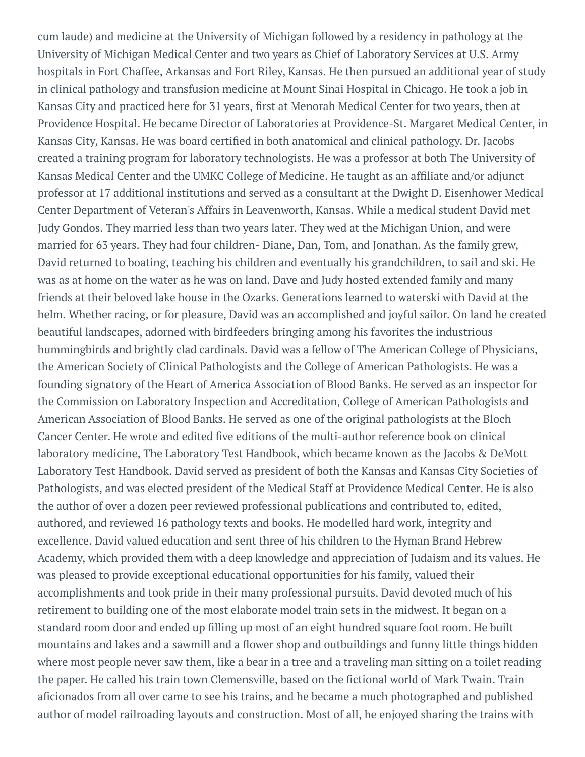cum laude) and medicine at the University of Michigan followed by a residency in pathology at the University of Michigan Medical Center and two years as Chief of Laboratory Services at U.S. Army hospitals in Fort Chaffee, Arkansas and Fort Riley, Kansas. He then pursued an additional year of study in clinical pathology and transfusion medicine at Mount Sinai Hospital in Chicago. He took a job in Kansas City and practiced here for 31 years, first at Menorah Medical Center for two years, then at Providence Hospital. He became Director of Laboratories at Providence-St. Margaret Medical Center, in Kansas City, Kansas. He was board certified in both anatomical and clinical pathology. Dr. Jacobs created a training program for laboratory technologists. He was a professor at both The University of Kansas Medical Center and the UMKC College of Medicine. He taught as an affiliate and/or adjunct professor at 17 additional institutions and served as a consultant at the Dwight D. Eisenhower Medical Center Department of Veteran's Affairs in Leavenworth, Kansas. While a medical student David met Judy Gondos. They married less than two years later. They wed at the Michigan Union, and were married for 63 years. They had four children- Diane, Dan, Tom, and Jonathan. As the family grew, David returned to boating, teaching his children and eventually his grandchildren, to sail and ski. He was as at home on the water as he was on land. Dave and Judy hosted extended family and many friends at their beloved lake house in the Ozarks. Generations learned to waterski with David at the helm. Whether racing, or for pleasure, David was an accomplished and joyful sailor. On land he created beautiful landscapes, adorned with birdfeeders bringing among his favorites the industrious hummingbirds and brightly clad cardinals. David was a fellow of The American College of Physicians, the American Society of Clinical Pathologists and the College of American Pathologists. He was a founding signatory of the Heart of America Association of Blood Banks. He served as an inspector for the Commission on Laboratory Inspection and Accreditation, College of American Pathologists and American Association of Blood Banks. He served as one of the original pathologists at the Bloch Cancer Center. He wrote and edited five editions of the multi-author reference book on clinical laboratory medicine, The Laboratory Test Handbook, which became known as the Jacobs & DeMott Laboratory Test Handbook. David served as president of both the Kansas and Kansas City Societies of Pathologists, and was elected president of the Medical Staff at Providence Medical Center. He is also the author of over a dozen peer reviewed professional publications and contributed to, edited, authored, and reviewed 16 pathology texts and books. He modelled hard work, integrity and excellence. David valued education and sent three of his children to the Hyman Brand Hebrew Academy, which provided them with a deep knowledge and appreciation of Judaism and its values. He was pleased to provide exceptional educational opportunities for his family, valued their accomplishments and took pride in their many professional pursuits. David devoted much of his retirement to building one of the most elaborate model train sets in the midwest. It began on a standard room door and ended up filling up most of an eight hundred square foot room. He built mountains and lakes and a sawmill and a flower shop and outbuildings and funny little things hidden where most people never saw them, like a bear in a tree and a traveling man sitting on a toilet reading the paper. He called his train town Clemensville, based on the fictional world of Mark Twain. Train aficionados from all over came to see his trains, and he became a much photographed and published author of model railroading layouts and construction. Most of all, he enjoyed sharing the trains with